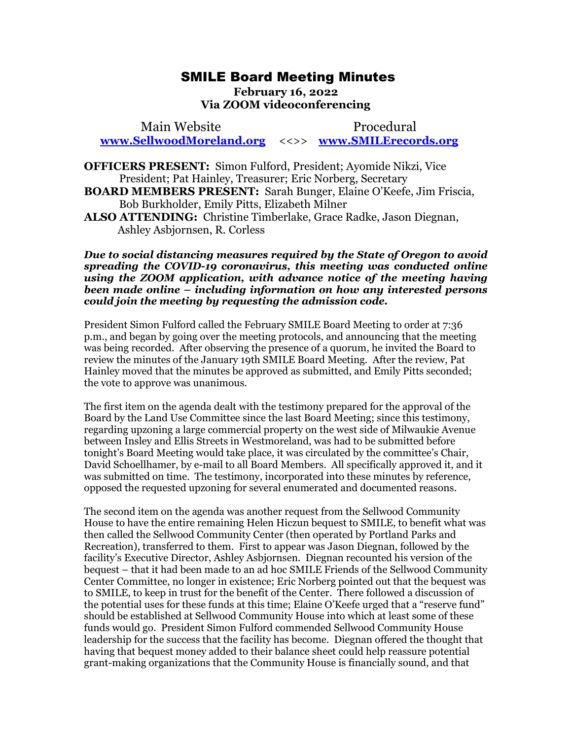## SMILE Board Meeting Minutes SMILE Board Meeting Minutes

## February 16, 2022 **February 16, 2022**  Via ZOOM videoconferencing **Via ZOOM videoconferencing**

Main Website Procedural Main Website Procedural [www.SellwoodMoreland.org](http://www.sellwoodmoreland.org/) <<>> [www.SMILErecords.org](http://www.smilerecords.org/)  **www.SellwoodMoreland.org** <<>> **www.SMILErecords.org**

OFFICERS PRESENT: Simon Fulford, President; Ayomide Nikzi, Vice **OFFICERS PRESENT:** Simon Fulford, President; Ayomide Nikzi, Vice President; Pat Hainley, Treasurer; Eric Norberg, Secretary President; Pat Hainley, Treasurer; Eric Norberg, Secretary BOARD MEMBERS PRESENT: Sarah Bunger, Elaine O'Keefe, Jim Friscia, **BOARD MEMBERS PRESENT:** Sarah Bunger, Elaine O'Keefe, Jim Friscia, Bob Burkholder, Emily Pitts, Elizabeth Milner Bob Burkholder, Emily Pitts, Elizabeth Milner ALSO ATTENDING: Christine Timberlake, Grace Radke, Jason Diegnan, **ALSO ATTENDING:** Christine Timberlake, Grace Radke, Jason Diegnan, Ashley Asbjornsen, R. Corless Ashley Asbjornsen, R. Corless

Due to social distancing measures required by the State of Oregon to avoid *Due to social distancing measures required by the State of Oregon to avoid*  spreading the COVID-19 coronavirus, this meeting was conducted online *spreading the COVID-19 coronavirus, this meeting was conducted online*  using the ZOOM application, with advance notice of the meeting having using the ZOOM application, with advance notice of the meeting having<br>been made online – including information on how any interested persons could join the meeting by requesting the admission code. *could join the meeting by requesting the admission code.*

President Simon Fulford called the February SMILE Board Meeting to order at 7:36 p.m., and began by going over the meeting protocols, and announcing that the meeting was being recorded. After observing the presence of a quorum, he invited the Board to President Simon Fulford called the February SMILE Board Meeting to order at 7:36<br>p.m., and began by going over the meeting protocols, and announcing that the meeting<br>was being recorded. After observing the presence of a qu Hainley moved that the minutes be approved as submitted, and Emily Pitts seconded; Hainley moved that the minutes be approved as submitted, and Emily Pitts seconded; the vote to approve was unanimous. the vote to approve was unanimous.

The first item on the agenda dealt with the testimony prepared for the approval of the The first item on the agenda dealt with the testimony prepared for the approval of the Board by the Land Use Committee since the last Board Meeting; since this testimony, Board by the Land Use Committee since the last Board Meeting; since this testimony,<br>regarding upzoning a large commercial property on the west side of Milwaukie Avenue between Insley and Ellis Streets in Westmoreland, was had to be submitted before between Insley and Ellis Streets in Westmoreland, was had to be submitted before tonight's Board Meeting would take place, it was circulated by the committee's Chair, David Schoellhamer, by e-mail to all Board Members. All specifically approved it, and it was submitted on time. The testimony, incorporated into these minutes by reference, opposed the requested upzoning for several enumerated and documented reasons. tonight's Board Meeting would take place, it was circulated by the committee's Chair,<br>David Schoellhamer, by e-mail to all Board Members. All specifically approved it, and it<br>was submitted on time. The testimony, incorpo

opposed the requested upzoning for several enumerated and documented reasons.<br>The second item on the agenda was another request from the Sellwood Community House to have the entire remaining Helen Hiczun bequest to SMILE, to benefit what was House to have the entire remaining Helen Hiczun bequest to SMILE, to benefit what was then called the Sellwood Community Center (then operated by Portland Parks and then called the Sellwood Community Center (then operated by Portland Parks and<br>Recreation), transferred to them. First to appear was Jason Diegnan, followed by the facility's Executive Director, Ashley Asbjornsen. Diegnan recounted his version of the facility's Executive Director, Ashley Asbjornsen. Diegnan recounted his version of the bequest — that it had been made to an ad hoc SMILE Friends of the Sellwood Community bequest – that it had been made to an ad hoc SMILE Friends of the Sellwood Community Center Committee, no longer in existence; Eric Norberg pointed out that the bequest was Center Committee, no longer in existence; Eric Norberg pointed out that the bequest was to SMILE, to keep in trust for the benefit of the Center. There followed a discussion of to SMILE, to keep in trust for the benefit of the Center. There followed a discussion of the potential uses for these funds at this time; Elaine O'Keefe urged that a "reserve fund" the potential uses for these funds at this time; Elaine O'Keefe urged that a "reserve fund"<br>should be established at Sellwood Community House into which at least some of these funds would go. President Simon Fulford commended Sellwood Community House funds would go. President Simon Fulford commended Sellwood Community House leadership for the success that the facility has become. Diegnan offered the thought that leadership for the success that the facility has become. Diegnan offered the thought that having that bequest money added to their balance sheet could help reassure potential having that bequest money added to their balance sheet could help reassure potential<br>grant-making organizations that the Community House is financially sound, and that